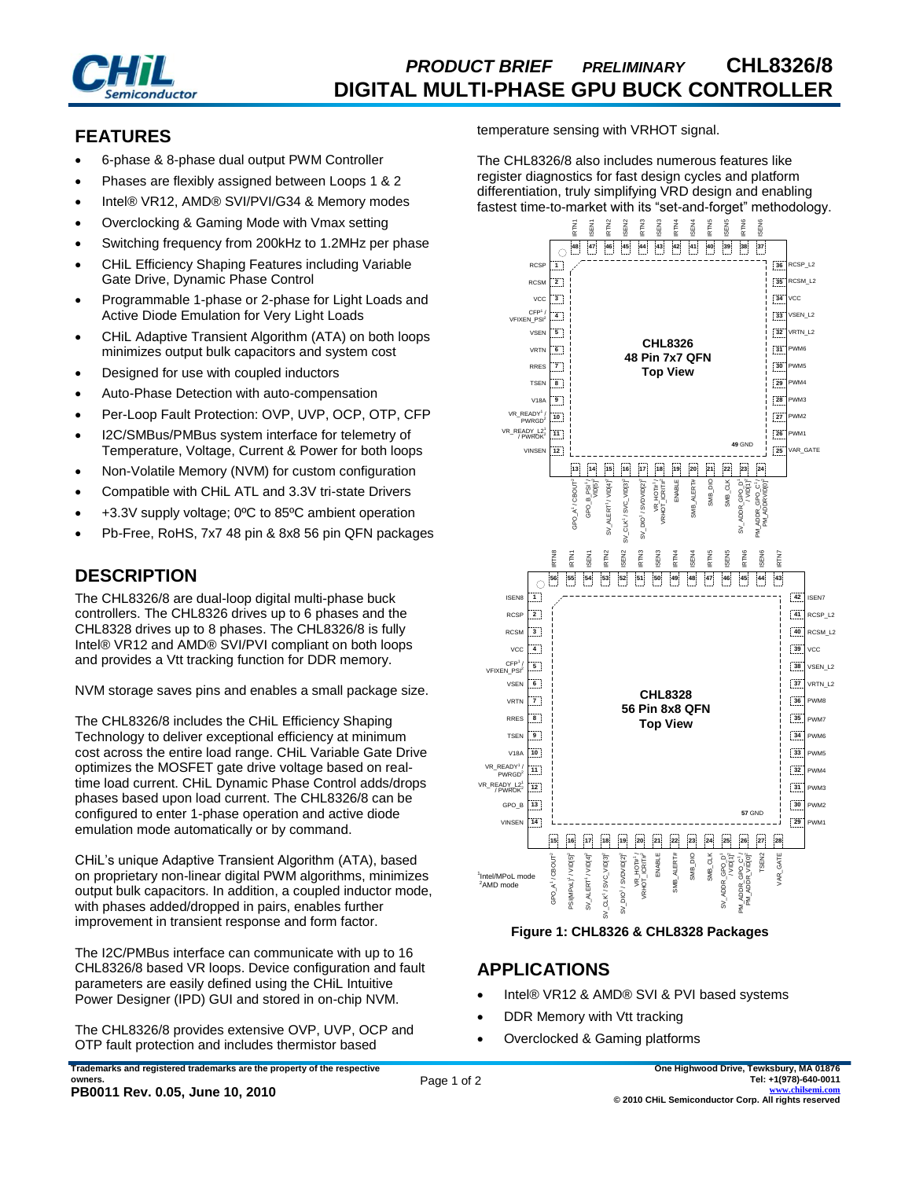

# *PRODUCT BRIEF PRELIMINARY* **CHL8326/8 DIGITAL MULTI-PHASE GPU BUCK CONTROLLER**

## **FEATURES**

- 6-phase & 8-phase dual output PWM Controller
- Phases are flexibly assigned between Loops 1 & 2
- Intel® VR12, AMD® SVI/PVI/G34 & Memory modes
- Overclocking & Gaming Mode with Vmax setting
- Switching frequency from 200kHz to 1.2MHz per phase
- CHiL Efficiency Shaping Features including Variable Gate Drive, Dynamic Phase Control
- Programmable 1-phase or 2-phase for Light Loads and Active Diode Emulation for Very Light Loads
- CHiL Adaptive Transient Algorithm (ATA) on both loops minimizes output bulk capacitors and system cost
- Designed for use with coupled inductors
- Auto-Phase Detection with auto-compensation
- Per-Loop Fault Protection: OVP, UVP, OCP, OTP, CFP
- I2C/SMBus/PMBus system interface for telemetry of Temperature, Voltage, Current & Power for both loops
- Non-Volatile Memory (NVM) for custom configuration
- Compatible with CHiL ATL and 3.3V tri-state Drivers
- +3.3V supply voltage; 0ºC to 85ºC ambient operation
- Pb-Free, RoHS, 7x7 48 pin & 8x8 56 pin QFN packages

## **DESCRIPTION**

The CHL8326/8 are dual-loop digital multi-phase buck controllers. The CHL8326 drives up to 6 phases and the CHL8328 drives up to 8 phases. The CHL8326/8 is fully Intel® VR12 and AMD® SVI/PVI compliant on both loops and provides a Vtt tracking function for DDR memory.

NVM storage saves pins and enables a small package size.

The CHL8326/8 includes the CHiL Efficiency Shaping Technology to deliver exceptional efficiency at minimum cost across the entire load range. CHiL Variable Gate Drive optimizes the MOSFET gate drive voltage based on realtime load current. CHiL Dynamic Phase Control adds/drops phases based upon load current. The CHL8326/8 can be configured to enter 1-phase operation and active diode emulation mode automatically or by command.

CHiL's unique Adaptive Transient Algorithm (ATA), based on proprietary non-linear digital PWM algorithms, minimizes output bulk capacitors. In addition, a coupled inductor mode, with phases added/dropped in pairs, enables further improvement in transient response and form factor.

The I2C/PMBus interface can communicate with up to 16 CHL8326/8 based VR loops. Device configuration and fault parameters are easily defined using the CHiL Intuitive Power Designer (IPD) GUI and stored in on-chip NVM.

The CHL8326/8 provides extensive OVP, UVP, OCP and OTP fault protection and includes thermistor based

**Trademarks and registered trademarks are the property of the respective owners. PB0011 Rev. 0.05, June 10, 2010**

temperature sensing with VRHOT signal.

The CHL8326/8 also includes numerous features like register diagnostics for fast design cycles and platform differentiation, truly simplifying VRD design and enabling fastest time-to-market with its "set-and-forget" methodology.





## **APPLICATIONS**

- Intel® VR12 & AMD® SVI & PVI based systems
- DDR Memory with Vtt tracking
- Overclocked & Gaming platforms